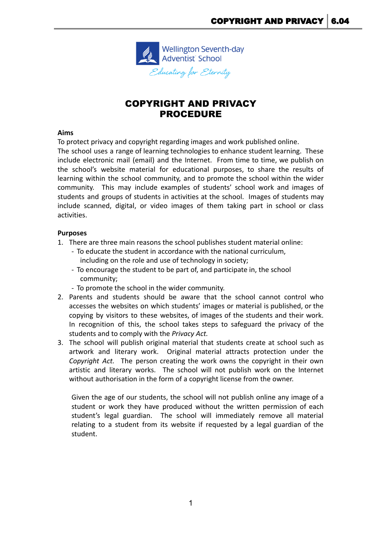

# COPYRIGHT AND PRIVACY PROCEDURE

### **Aims**

To protect privacy and copyright regarding images and work published online.

The school uses a range of learning technologies to enhance student learning. These include electronic mail (email) and the Internet. From time to time, we publish on the school's website material for educational purposes, to share the results of learning within the school community, and to promote the school within the wider community. This may include examples of students' school work and images of students and groups of students in activities at the school. Images of students may include scanned, digital, or video images of them taking part in school or class activities.

### **Purposes**

- 1. There are three main reasons the school publishes student material online:
	- To educate the student in accordance with the national curriculum, including on the role and use of technology in society;
	- To encourage the student to be part of, and participate in, the school community;
	- To promote the school in the wider community.
- 2. Parents and students should be aware that the school cannot control who accesses the websites on which students' images or material is published, or the copying by visitors to these websites, of images of the students and their work. In recognition of this, the school takes steps to safeguard the privacy of the students and to comply with the *Privacy Act.*
- 3. The school will publish original material that students create at school such as artwork and literary work. Original material attracts protection under the *Copyright Act.* The person creating the work owns the copyright in their own artistic and literary works. The school will not publish work on the Internet without authorisation in the form of a copyright license from the owner.

Given the age of our students, the school will not publish online any image of a student or work they have produced without the written permission of each student's legal guardian. The school will immediately remove all material relating to a student from its website if requested by a legal guardian of the student.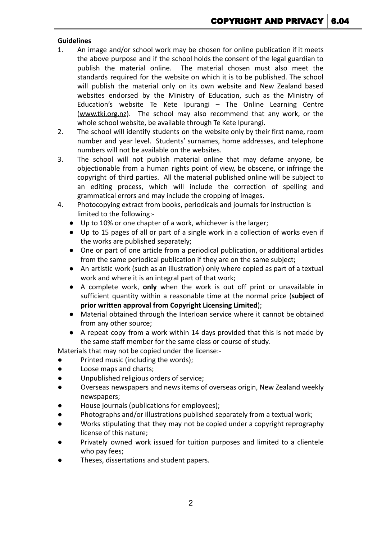## **Guidelines**

- 1. An image and/or school work may be chosen for online publication if it meets the above purpose and if the school holds the consent of the legal guardian to publish the material online. The material chosen must also meet the standards required for the website on which it is to be published. The school will publish the material only on its own website and New Zealand based websites endorsed by the Ministry of Education, such as the Ministry of Education's website Te Kete Ipurangi – The Online Learning Centre [\(www.tki.org.nz](http://www.tki.org.nz)). The school may also recommend that any work, or the whole school website, be available through Te Kete Ipurangi.
- 2. The school will identify students on the website only by their first name, room number and year level. Students' surnames, home addresses, and telephone numbers will not be available on the websites.
- 3. The school will not publish material online that may defame anyone, be objectionable from a human rights point of view, be obscene, or infringe the copyright of third parties. All the material published online will be subject to an editing process, which will include the correction of spelling and grammatical errors and may include the cropping of images.
- 4. Photocopying extract from books, periodicals and journals for instruction is limited to the following:-
	- Up to 10% or one chapter of a work, whichever is the larger;
	- Up to 15 pages of all or part of a single work in a collection of works even if the works are published separately;
	- One or part of one article from a periodical publication, or additional articles from the same periodical publication if they are on the same subject;
	- An artistic work (such as an illustration) only where copied as part of a textual work and where it is an integral part of that work;
	- A complete work, **only** when the work is out off print or unavailable in sufficient quantity within a reasonable time at the normal price (**subject of prior written approval from Copyright Licensing Limited**);
	- Material obtained through the Interloan service where it cannot be obtained from any other source;
	- A repeat copy from a work within 14 days provided that this is not made by the same staff member for the same class or course of study.

Materials that may not be copied under the license:-

- Printed music (including the words);
- Loose maps and charts;
- Unpublished religious orders of service;
- Overseas newspapers and news items of overseas origin, New Zealand weekly newspapers;
- House journals (publications for employees);
- Photographs and/or illustrations published separately from a textual work;
- Works stipulating that they may not be copied under a copyright reprography license of this nature;
- Privately owned work issued for tuition purposes and limited to a clientele who pay fees;
- Theses, dissertations and student papers.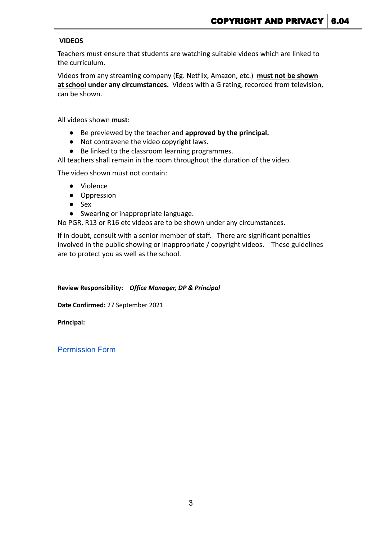## **VIDEOS**

Teachers must ensure that students are watching suitable videos which are linked to the curriculum.

Videos from any streaming company (Eg. Netflix, Amazon, etc.) **must not be shown at school under any circumstances.** Videos with a G rating, recorded from television, can be shown.

All videos shown **must**:

- Be previewed by the teacher and **approved by the principal.**
- Not contravene the video copyright laws.
- Be linked to the classroom learning programmes.

All teachers shall remain in the room throughout the duration of the video.

The video shown must not contain:

- Violence
- Oppression
- Sex
- Swearing or inappropriate language.

No PGR, R13 or R16 etc videos are to be shown under any circumstances.

If in doubt, consult with a senior member of staff. There are significant penalties involved in the public showing or inappropriate / copyright videos. These guidelines are to protect you as well as the school.

#### **Review Responsibility:** *Office Manager, DP & Principal*

**Date Confirmed:** 27 September 2021

**Principal:**

[Permission Form](https://docs.google.com/document/d/1YN1TC-I5wgE0E8ft9cU_DPq7us6rMfQv7iM_e2DqthY/edit)